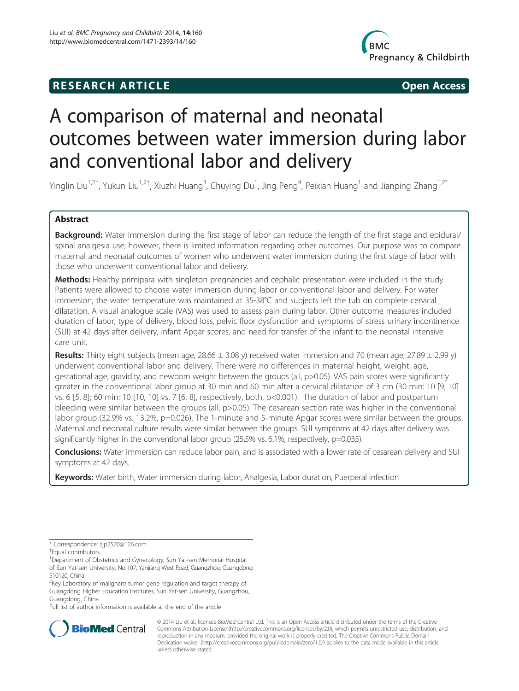## **RESEARCH ARTICLE Example 2014 12:30 The SEAR CHA RESEARCH ARTICLE**



# A comparison of maternal and neonatal outcomes between water immersion during labor and conventional labor and delivery

Yinglin Liu<sup>1,2†</sup>, Yukun Liu<sup>1,2†</sup>, Xiuzhi Huang<sup>3</sup>, Chuying Du<sup>1</sup>, Jing Peng<sup>4</sup>, Peixian Huang<sup>1</sup> and Jianping Zhang<sup>1,2\*</sup>

## Abstract

Background: Water immersion during the first stage of labor can reduce the length of the first stage and epidural/ spinal analgesia use; however, there is limited information regarding other outcomes. Our purpose was to compare maternal and neonatal outcomes of women who underwent water immersion during the first stage of labor with those who underwent conventional labor and delivery.

Methods: Healthy primipara with singleton pregnancies and cephalic presentation were included in the study. Patients were allowed to choose water immersion during labor or conventional labor and delivery. For water immersion, the water temperature was maintained at 35-38°C and subjects left the tub on complete cervical dilatation. A visual analogue scale (VAS) was used to assess pain during labor. Other outcome measures included duration of labor, type of delivery, blood loss, pelvic floor dysfunction and symptoms of stress urinary incontinence (SUI) at 42 days after delivery, infant Apgar scores, and need for transfer of the infant to the neonatal intensive care unit.

Results: Thirty eight subjects (mean age,  $28.66 \pm 3.08$  y) received water immersion and 70 (mean age,  $27.89 \pm 2.99$  y) underwent conventional labor and delivery. There were no differences in maternal height, weight, age, gestational age, gravidity, and newborn weight between the groups (all, p>0.05). VAS pain scores were significantly greater in the conventional labor group at 30 min and 60 min after a cervical dilatation of 3 cm (30 min: 10 [9, 10] vs. 6 [5, 8]; 60 min: 10 [10, 10] vs. 7 [6, 8], respectively, both, p<0.001). The duration of labor and postpartum bleeding were similar between the groups (all, p>0.05). The cesarean section rate was higher in the conventional labor group (32.9% vs. 13.2%, p=0.026). The 1-minute and 5-minute Apgar scores were similar between the groups. Maternal and neonatal culture results were similar between the groups. SUI symptoms at 42 days after delivery was significantly higher in the conventional labor group (25.5% vs. 6.1%, respectively, p=0.035).

Conclusions: Water immersion can reduce labor pain, and is associated with a lower rate of cesarean delivery and SUI symptoms at 42 days.

Keywords: Water birth, Water immersion during labor, Analgesia, Labor duration, Puerperal infection

<sup>1</sup>Department of Obstetrics and Gynecology, Sun Yat-sen Memorial Hospital of Sun Yat-sen University, No 107, Yanjiang West Road, Guangzhou, Guangdong 510120, China

<sup>2</sup>Key Laboratory of malignant tumor gene regulation and target therapy of Guangdong Higher Education Institutes, Sun Yat-sen University, Guangzhou, Guangdong, China

Full list of author information is available at the end of the article



© 2014 Liu et al.; licensee BioMed Central Ltd. This is an Open Access article distributed under the terms of the Creative Commons Attribution License [\(http://creativecommons.org/licenses/by/2.0\)](http://creativecommons.org/licenses/by/2.0), which permits unrestricted use, distribution, and reproduction in any medium, provided the original work is properly credited. The Creative Commons Public Domain Dedication waiver [\(http://creativecommons.org/publicdomain/zero/1.0/](http://creativecommons.org/publicdomain/zero/1.0/)) applies to the data made available in this article, unless otherwise stated.

<sup>\*</sup> Correspondence: [zjp2570@126.com](mailto:zjp2570@126.com) †

Equal contributors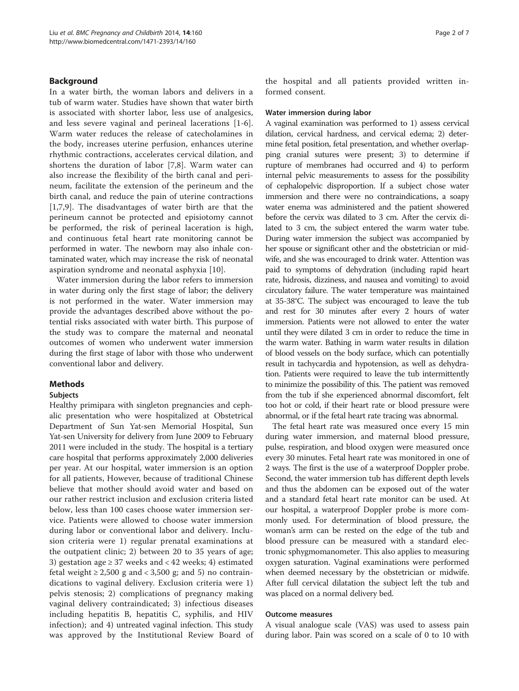## Background

In a water birth, the woman labors and delivers in a tub of warm water. Studies have shown that water birth is associated with shorter labor, less use of analgesics, and less severe vaginal and perineal lacerations [\[1-6](#page-6-0)]. Warm water reduces the release of catecholamines in the body, increases uterine perfusion, enhances uterine rhythmic contractions, accelerates cervical dilation, and shortens the duration of labor [[7,8\]](#page-6-0). Warm water can also increase the flexibility of the birth canal and perineum, facilitate the extension of the perineum and the birth canal, and reduce the pain of uterine contractions [[1,7,9](#page-6-0)]. The disadvantages of water birth are that the perineum cannot be protected and episiotomy cannot be performed, the risk of perineal laceration is high, and continuous fetal heart rate monitoring cannot be performed in water. The newborn may also inhale contaminated water, which may increase the risk of neonatal aspiration syndrome and neonatal asphyxia [\[10](#page-6-0)].

Water immersion during the labor refers to immersion in water during only the first stage of labor; the delivery is not performed in the water. Water immersion may provide the advantages described above without the potential risks associated with water birth. This purpose of the study was to compare the maternal and neonatal outcomes of women who underwent water immersion during the first stage of labor with those who underwent conventional labor and delivery.

## Methods

## Subjects

Healthy primipara with singleton pregnancies and cephalic presentation who were hospitalized at Obstetrical Department of Sun Yat-sen Memorial Hospital, Sun Yat-sen University for delivery from June 2009 to February 2011 were included in the study. The hospital is a tertiary care hospital that performs approximately 2,000 deliveries per year. At our hospital, water immersion is an option for all patients, However, because of traditional Chinese believe that mother should avoid water and based on our rather restrict inclusion and exclusion criteria listed below, less than 100 cases choose water immersion service. Patients were allowed to choose water immersion during labor or conventional labor and delivery. Inclusion criteria were 1) regular prenatal examinations at the outpatient clinic; 2) between 20 to 35 years of age; 3) gestation age  $\geq$  37 weeks and < 42 weeks; 4) estimated fetal weight  $\geq 2,500$  g and  $\lt 3,500$  g; and 5) no contraindications to vaginal delivery. Exclusion criteria were 1) pelvis stenosis; 2) complications of pregnancy making vaginal delivery contraindicated; 3) infectious diseases including hepatitis B, hepatitis C, syphilis, and HIV infection); and 4) untreated vaginal infection. This study was approved by the Institutional Review Board of the hospital and all patients provided written informed consent.

## Water immersion during labor

A vaginal examination was performed to 1) assess cervical dilation, cervical hardness, and cervical edema; 2) determine fetal position, fetal presentation, and whether overlapping cranial sutures were present; 3) to determine if rupture of membranes had occurred and 4) to perform internal pelvic measurements to assess for the possibility of cephalopelvic disproportion. If a subject chose water immersion and there were no contraindications, a soapy water enema was administered and the patient showered before the cervix was dilated to 3 cm. After the cervix dilated to 3 cm, the subject entered the warm water tube. During water immersion the subject was accompanied by her spouse or significant other and the obstetrician or midwife, and she was encouraged to drink water. Attention was paid to symptoms of dehydration (including rapid heart rate, hidrosis, dizziness, and nausea and vomiting) to avoid circulatory failure. The water temperature was maintained at 35-38°C. The subject was encouraged to leave the tub and rest for 30 minutes after every 2 hours of water immersion. Patients were not allowed to enter the water until they were dilated 3 cm in order to reduce the time in the warm water. Bathing in warm water results in dilation of blood vessels on the body surface, which can potentially result in tachycardia and hypotension, as well as dehydration. Patients were required to leave the tub intermittently to minimize the possibility of this. The patient was removed from the tub if she experienced abnormal discomfort, felt too hot or cold, if their heart rate or blood pressure were abnormal, or if the fetal heart rate tracing was abnormal.

The fetal heart rate was measured once every 15 min during water immersion, and maternal blood pressure, pulse, respiration, and blood oxygen were measured once every 30 minutes. Fetal heart rate was monitored in one of 2 ways. The first is the use of a waterproof Doppler probe. Second, the water immersion tub has different depth levels and thus the abdomen can be exposed out of the water and a standard fetal heart rate monitor can be used. At our hospital, a waterproof Doppler probe is more commonly used. For determination of blood pressure, the woman's arm can be rested on the edge of the tub and blood pressure can be measured with a standard electronic sphygmomanometer. This also applies to measuring oxygen saturation. Vaginal examinations were performed when deemed necessary by the obstetrician or midwife. After full cervical dilatation the subject left the tub and was placed on a normal delivery bed.

## Outcome measures

A visual analogue scale (VAS) was used to assess pain during labor. Pain was scored on a scale of 0 to 10 with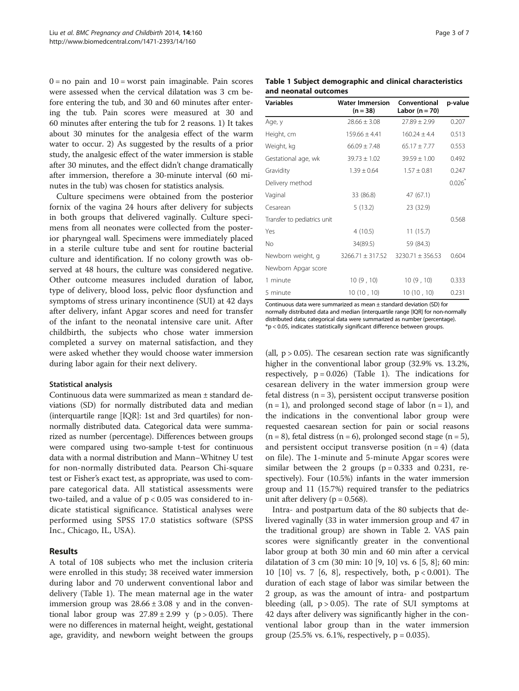$0 = no$  pain and  $10 = worst$  pain imaginable. Pain scores were assessed when the cervical dilatation was 3 cm before entering the tub, and 30 and 60 minutes after entering the tub. Pain scores were measured at 30 and 60 minutes after entering the tub for 2 reasons. 1) It takes about 30 minutes for the analgesia effect of the warm water to occur. 2) As suggested by the results of a prior study, the analgesic effect of the water immersion is stable after 30 minutes, and the effect didn't change dramatically after immersion, therefore a 30-minute interval (60 minutes in the tub) was chosen for statistics analysis.

Culture specimens were obtained from the posterior fornix of the vagina 24 hours after delivery for subjects in both groups that delivered vaginally. Culture specimens from all neonates were collected from the posterior pharyngeal wall. Specimens were immediately placed in a sterile culture tube and sent for routine bacterial culture and identification. If no colony growth was observed at 48 hours, the culture was considered negative. Other outcome measures included duration of labor, type of delivery, blood loss, pelvic floor dysfunction and symptoms of stress urinary incontinence (SUI) at 42 days after delivery, infant Apgar scores and need for transfer of the infant to the neonatal intensive care unit. After childbirth, the subjects who chose water immersion completed a survey on maternal satisfaction, and they were asked whether they would choose water immersion during labor again for their next delivery.

## Statistical analysis

Continuous data were summarized as mean ± standard deviations (SD) for normally distributed data and median (interquartile range [IQR]: 1st and 3rd quartiles) for nonnormally distributed data. Categorical data were summarized as number (percentage). Differences between groups were compared using two-sample t-test for continuous data with a normal distribution and Mann–Whitney U test for non-normally distributed data. Pearson Chi-square test or Fisher's exact test, as appropriate, was used to compare categorical data. All statistical assessments were two-tailed, and a value of  $p < 0.05$  was considered to indicate statistical significance. Statistical analyses were performed using SPSS 17.0 statistics software (SPSS Inc., Chicago, IL, USA).

## Results

A total of 108 subjects who met the inclusion criteria were enrolled in this study; 38 received water immersion during labor and 70 underwent conventional labor and delivery (Table 1). The mean maternal age in the water immersion group was  $28.66 \pm 3.08$  y and in the conventional labor group was  $27.89 \pm 2.99$  y (p > 0.05). There were no differences in maternal height, weight, gestational age, gravidity, and newborn weight between the groups

| r<br>ו זו | п |  |
|-----------|---|--|
|           |   |  |

| Table 1 Subject demographic and clinical characteristics |  |
|----------------------------------------------------------|--|
| and neonatal outcomes                                    |  |

| <b>Variables</b>            | <b>Water Immersion</b><br>$(n = 38)$      | Conventional<br>Labor $(n = 70)$ | p-value |
|-----------------------------|-------------------------------------------|----------------------------------|---------|
| Age, y                      | $28.66 \pm 3.08$                          | $27.89 \pm 2.99$                 | 0.207   |
| Height, cm                  | $159.66 \pm 4.41$                         | $160.24 + 4.4$                   | 0.513   |
| Weight, kg                  | $66.09 \pm 7.48$                          | $65.17 \pm 7.77$                 | 0.553   |
| Gestational age, wk         | $39.73 \pm 1.02$                          | $39.59 \pm 1.00$                 | 0.492   |
| Gravidity                   | $1.39 \pm 0.64$                           | $1.57 \pm 0.81$                  | 0.247   |
| Delivery method             |                                           |                                  | 0.026   |
| Vaginal                     | 33 (86.8)                                 | 47 (67.1)                        |         |
| Cesarean                    | 5(13.2)                                   | 23 (32.9)                        |         |
| Transfer to pediatrics unit |                                           |                                  | 0.568   |
| Yes                         | 4(10.5)                                   | 11(15.7)                         |         |
| No                          | 34(89.5)                                  | 59 (84.3)                        |         |
| Newborn weight, g           | $3266.71 \pm 317.52$ $3230.71 \pm 356.53$ |                                  | 0.604   |
| Newborn Apgar score         |                                           |                                  |         |
| 1 minute                    | 10(9, 10)                                 | 10(9, 10)                        | 0.333   |
| 5 minute                    | 10(10, 10)                                | 10(10, 10)                       | 0.231   |

Continuous data were summarized as mean ± standard deviation (SD) for normally distributed data and median (interquartile range [IQR] for non-normally distributed data; categorical data were summarized as number (percentage). \*p < 0.05, indicates statistically significant difference between groups.

(all,  $p > 0.05$ ). The cesarean section rate was significantly higher in the conventional labor group (32.9% vs. 13.2%, respectively,  $p = 0.026$ ) (Table 1). The indications for cesarean delivery in the water immersion group were fetal distress  $(n = 3)$ , persistent occiput transverse position  $(n = 1)$ , and prolonged second stage of labor  $(n = 1)$ , and the indications in the conventional labor group were requested caesarean section for pain or social reasons  $(n = 8)$ , fetal distress  $(n = 6)$ , prolonged second stage  $(n = 5)$ , and persistent occiput transverse position  $(n = 4)$  (data on file). The 1-minute and 5-minute Apgar scores were similar between the 2 groups  $(p = 0.333$  and 0.231, respectively). Four (10.5%) infants in the water immersion group and 11 (15.7%) required transfer to the pediatrics unit after delivery ( $p = 0.568$ ).

Intra- and postpartum data of the 80 subjects that delivered vaginally (33 in water immersion group and 47 in the traditional group) are shown in Table [2.](#page-3-0) VAS pain scores were significantly greater in the conventional labor group at both 30 min and 60 min after a cervical dilatation of 3 cm (30 min: 10 [9, 10] vs. 6 [5, 8]; 60 min: 10 [10] vs. 7 [6, 8], respectively, both, p < 0.001). The duration of each stage of labor was similar between the 2 group, as was the amount of intra- and postpartum bleeding (all,  $p > 0.05$ ). The rate of SUI symptoms at 42 days after delivery was significantly higher in the conventional labor group than in the water immersion group  $(25.5\% \text{ vs. } 6.1\% \text{, respectively, } p = 0.035).$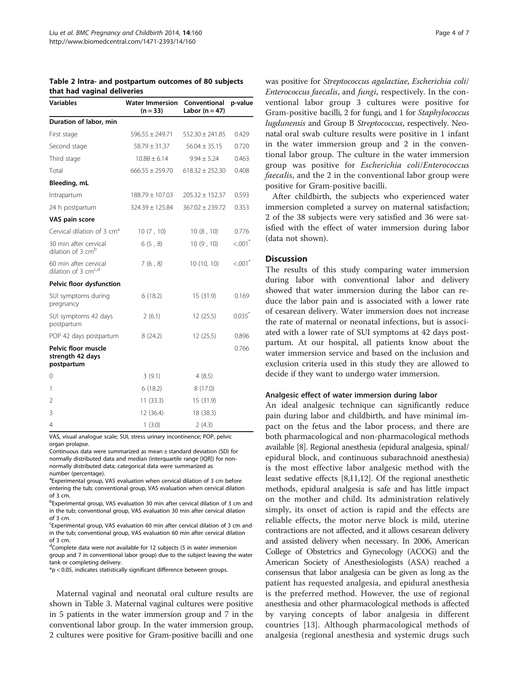<span id="page-3-0"></span>

|                             | Table 2 Intra- and postpartum outcomes of 80 subjects |
|-----------------------------|-------------------------------------------------------|
| that had vaginal deliveries |                                                       |

| Variables                                                | <b>Water Immersion</b> | Conventional        | p-value |  |
|----------------------------------------------------------|------------------------|---------------------|---------|--|
|                                                          | $(n = 33)$             | Labor ( $n = 47$ )  |         |  |
| Duration of labor, min                                   |                        |                     |         |  |
| First stage                                              | $596.55 \pm 249.71$    | $552.30 \pm 241.85$ | 0.429   |  |
| Second stage                                             | $58.79 \pm 31.37$      | $56.04 \pm 35.15$   | 0.720   |  |
| Third stage                                              | $10.88 \pm 6.14$       | $9.94 \pm 5.24$     | 0.463   |  |
| Total                                                    | $666.55 + 259.70$      | $618.32 + 252.30$   | 0.408   |  |
| Bleeding, mL                                             |                        |                     |         |  |
| Intrapartum                                              | $188.79 \pm 107.03$    | $205.32 \pm 152.37$ | 0.593   |  |
| 24 h postpartum                                          | $324.39 \pm 125.84$    | $367.02 \pm 239.72$ | 0.353   |  |
| VAS pain score                                           |                        |                     |         |  |
| Cervical dilation of 3 cm <sup>a</sup>                   | 10(7, 10)              | 10(8, 10)           | 0.776   |  |
| 30 min after cervical<br>dilation of 3 cm <sup>b</sup>   | 6(5, 8)                | 10(9, 10)           | < 001   |  |
| 60 min after cervical<br>dilation of 3 cm <sup>c,d</sup> | 7(6, 8)                | 10 (10, 10)         | < 001   |  |
| Pelvic floor dysfunction                                 |                        |                     |         |  |
| SUI symptoms during<br>pregnancy                         | 6(18.2)                | 15 (31.9)           | 0.169   |  |
| SUI symptoms 42 days<br>postpartum                       | 2(6.1)                 | 12(25.5)            | 0.035   |  |
| POP 42 days postpartum                                   | 8(24.2)                | 12(25.5)            | 0.896   |  |
| Pelvic floor muscle<br>strength 42 days<br>postpartum    |                        |                     | 0.766   |  |
| 0                                                        | 3(9.1)                 | 4(8.5)              |         |  |
| 1                                                        | 6(18.2)                | 8(17.0)             |         |  |
| 2                                                        | 11(33.3)               | 15 (31.9)           |         |  |
| 3                                                        | 12 (36.4)              | 18 (38.3)           |         |  |
| 4                                                        | 1(3.0)                 | 2(4.3)              |         |  |

VAS, visual analogue scale; SUI, stress urinary incontinence; POP, pelvic organ prolapse.

Continuous data were summarized as mean ± standard deviation (SD) for normally distributed data and median (interquartile range [IQR]) for nonnormally distributed data; categorical data were summarized as number (percentage).

<sup>a</sup>Experimental group, VAS evaluation when cervical dilation of 3 cm before entering the tub; conventional group, VAS evaluation when cervical dilation of 3 cm.

<sup>b</sup>Experimental group, VAS evaluation 30 min after cervical dilation of 3 cm and in the tub; conventional group, VAS evaluation 30 min after cervical dilation of 3 cm.

Experimental group, VAS evaluation 60 min after cervical dilation of 3 cm and in the tub; conventional group, VAS evaluation 60 min after cervical dilation of 3 cm.

<sup>d</sup>Complete data were not available for 12 subjects (5 in water immersion group and 7 in conventional labor group) due to the subject leaving the water tank or completing delivery.

\*p < 0.05, indicates statistically significant difference between groups.

Maternal vaginal and neonatal oral culture results are shown in Table [3.](#page-4-0) Maternal vaginal cultures were positive in 5 patients in the water immersion group and 7 in the conventional labor group. In the water immersion group, 2 cultures were positive for Gram-positive bacilli and one was positive for Streptococcus agalactiae, Escherichia coli/ Enterococcus faecalis, and fungi, respectively. In the conventional labor group 3 cultures were positive for Gram-positive bacilli, 2 for fungi, and 1 for Staphylococcus lugdunensis and Group B Streptococcus, respectively. Neonatal oral swab culture results were positive in 1 infant in the water immersion group and 2 in the conventional labor group. The culture in the water immersion group was positive for Escherichia coli/Enterococcus faecalis, and the 2 in the conventional labor group were positive for Gram-positive bacilli.

After childbirth, the subjects who experienced water immersion completed a survey on maternal satisfaction; 2 of the 38 subjects were very satisfied and 36 were satisfied with the effect of water immersion during labor (data not shown).

## Discussion

The results of this study comparing water immersion during labor with conventional labor and delivery showed that water immersion during the labor can reduce the labor pain and is associated with a lower rate of cesarean delivery. Water immersion does not increase the rate of maternal or neonatal infections, but is associated with a lower rate of SUI symptoms at 42 days postpartum. At our hospital, all patients know about the water immersion service and based on the inclusion and exclusion criteria used in this study they are allowed to decide if they want to undergo water immersion.

## Analgesic effect of water immersion during labor

An ideal analgesic technique can significantly reduce pain during labor and childbirth, and have minimal impact on the fetus and the labor process, and there are both pharmacological and non-pharmacological methods available [[8](#page-6-0)]. Regional anesthesia (epidural analgesia, spinal/ epidural block, and continuous subarachnoid anesthesia) is the most effective labor analgesic method with the least sedative effects [[8,11,12\]](#page-6-0). Of the regional anesthetic methods, epidural analgesia is safe and has little impact on the mother and child. Its administration relatively simply, its onset of action is rapid and the effects are reliable effects, the motor nerve block is mild, uterine contractions are not affected, and it allows cesarean delivery and assisted delivery when necessary. In 2006, American College of Obstetrics and Gynecology (ACOG) and the American Society of Anesthesiologists (ASA) reached a consensus that labor analgesia can be given as long as the patient has requested analgesia, and epidural anesthesia is the preferred method. However, the use of regional anesthesia and other pharmacological methods is affected by varying concepts of labor analgesia in different countries [[13\]](#page-6-0). Although pharmacological methods of analgesia (regional anesthesia and systemic drugs such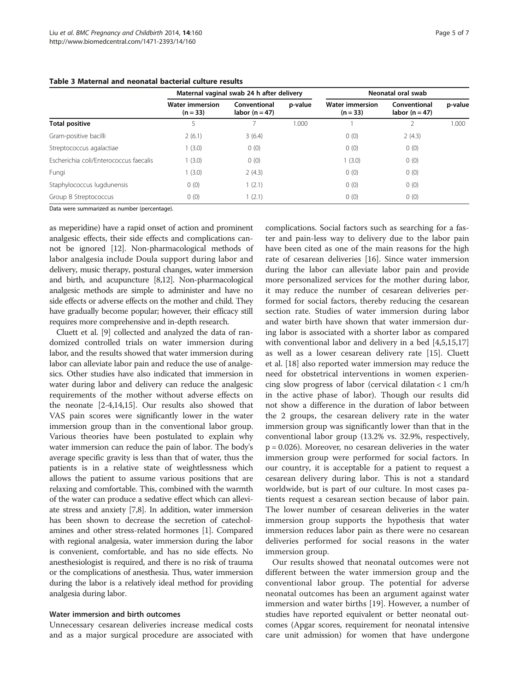|                                        | Maternal vaginal swab 24 h after delivery |                                  |         | Neonatal oral swab                   |                                    |         |
|----------------------------------------|-------------------------------------------|----------------------------------|---------|--------------------------------------|------------------------------------|---------|
|                                        | <b>Water immersion</b><br>$(n = 33)$      | Conventional<br>labor $(n = 47)$ | p-value | <b>Water immersion</b><br>$(n = 33)$ | Conventional<br>labor ( $n = 47$ ) | p-value |
| Total positive                         |                                           |                                  | 1.000   |                                      |                                    | 1.000   |
| Gram-positive bacilli                  | 2(6.1)                                    | 3(6.4)                           |         | 0(0)                                 | 2(4.3)                             |         |
| Streptococcus agalactiae               | 1(3.0)                                    | 0(0)                             |         | 0(0)                                 | 0(0)                               |         |
| Escherichia coli/Enterococcus faecalis | 1(3.0)                                    | 0(0)                             |         | (3.0)                                | 0(0)                               |         |
| Fungi                                  | 1(3.0)                                    | 2(4.3)                           |         | 0(0)                                 | 0(0)                               |         |
| Staphylococcus lugdunensis             | 0(0)                                      | 1(2.1)                           |         | 0(0)                                 | 0(0)                               |         |
| Group B Streptococcus                  | 0(0)                                      | 1(2.1)                           |         | 0(0)                                 | 0(0)                               |         |

## <span id="page-4-0"></span>Table 3 Maternal and neonatal bacterial culture results

Data were summarized as number (percentage).

as meperidine) have a rapid onset of action and prominent analgesic effects, their side effects and complications cannot be ignored [\[12\]](#page-6-0). Non-pharmacological methods of labor analgesia include Doula support during labor and delivery, music therapy, postural changes, water immersion and birth, and acupuncture [\[8,12](#page-6-0)]. Non-pharmacological analgesic methods are simple to administer and have no side effects or adverse effects on the mother and child. They have gradually become popular; however, their efficacy still requires more comprehensive and in-depth research.

Cluett et al. [\[9](#page-6-0)] collected and analyzed the data of randomized controlled trials on water immersion during labor, and the results showed that water immersion during labor can alleviate labor pain and reduce the use of analgesics. Other studies have also indicated that immersion in water during labor and delivery can reduce the analgesic requirements of the mother without adverse effects on the neonate [[2-4,14,15](#page-6-0)]. Our results also showed that VAS pain scores were significantly lower in the water immersion group than in the conventional labor group. Various theories have been postulated to explain why water immersion can reduce the pain of labor. The body's average specific gravity is less than that of water, thus the patients is in a relative state of weightlessness which allows the patient to assume various positions that are relaxing and comfortable. This, combined with the warmth of the water can produce a sedative effect which can alleviate stress and anxiety [\[7,8\]](#page-6-0). In addition, water immersion has been shown to decrease the secretion of catecholamines and other stress-related hormones [\[1\]](#page-6-0). Compared with regional analgesia, water immersion during the labor is convenient, comfortable, and has no side effects. No anesthesiologist is required, and there is no risk of trauma or the complications of anesthesia. Thus, water immersion during the labor is a relatively ideal method for providing analgesia during labor.

## Water immersion and birth outcomes

Unnecessary cesarean deliveries increase medical costs and as a major surgical procedure are associated with

complications. Social factors such as searching for a faster and pain-less way to delivery due to the labor pain have been cited as one of the main reasons for the high rate of cesarean deliveries [\[16\]](#page-6-0). Since water immersion during the labor can alleviate labor pain and provide more personalized services for the mother during labor, it may reduce the number of cesarean deliveries performed for social factors, thereby reducing the cesarean section rate. Studies of water immersion during labor and water birth have shown that water immersion during labor is associated with a shorter labor as compared with conventional labor and delivery in a bed [[4](#page-6-0),[5](#page-6-0),[15](#page-6-0),[17](#page-6-0)] as well as a lower cesarean delivery rate [[15\]](#page-6-0). Cluett et al. [\[18](#page-6-0)] also reported water immersion may reduce the need for obstetrical interventions in women experiencing slow progress of labor (cervical dilatation < 1 cm/h in the active phase of labor). Though our results did not show a difference in the duration of labor between the 2 groups, the cesarean delivery rate in the water immersion group was significantly lower than that in the conventional labor group (13.2% vs. 32.9%, respectively, p = 0.026). Moreover, no cesarean deliveries in the water immersion group were performed for social factors. In our country, it is acceptable for a patient to request a cesarean delivery during labor. This is not a standard worldwide, but is part of our culture. In most cases patients request a cesarean section because of labor pain. The lower number of cesarean deliveries in the water immersion group supports the hypothesis that water immersion reduces labor pain as there were no cesarean deliveries performed for social reasons in the water immersion group.

Our results showed that neonatal outcomes were not different between the water immersion group and the conventional labor group. The potential for adverse neonatal outcomes has been an argument against water immersion and water births [[19](#page-6-0)]. However, a number of studies have reported equivalent or better neonatal outcomes (Apgar scores, requirement for neonatal intensive care unit admission) for women that have undergone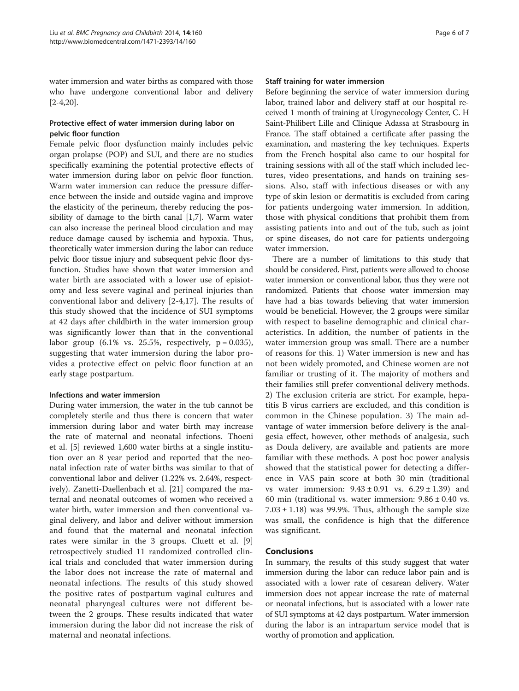water immersion and water births as compared with those who have undergone conventional labor and delivery [[2-4,20\]](#page-6-0).

## Protective effect of water immersion during labor on pelvic floor function

Female pelvic floor dysfunction mainly includes pelvic organ prolapse (POP) and SUI, and there are no studies specifically examining the potential protective effects of water immersion during labor on pelvic floor function. Warm water immersion can reduce the pressure difference between the inside and outside vagina and improve the elasticity of the perineum, thereby reducing the possibility of damage to the birth canal [\[1,7](#page-6-0)]. Warm water can also increase the perineal blood circulation and may reduce damage caused by ischemia and hypoxia. Thus, theoretically water immersion during the labor can reduce pelvic floor tissue injury and subsequent pelvic floor dysfunction. Studies have shown that water immersion and water birth are associated with a lower use of episiotomy and less severe vaginal and perineal injuries than conventional labor and delivery [[2-4](#page-6-0),[17\]](#page-6-0). The results of this study showed that the incidence of SUI symptoms at 42 days after childbirth in the water immersion group was significantly lower than that in the conventional labor group  $(6.1\% \text{ vs. } 25.5\%, \text{ respectively, } p = 0.035)$ , suggesting that water immersion during the labor provides a protective effect on pelvic floor function at an early stage postpartum.

## Infections and water immersion

During water immersion, the water in the tub cannot be completely sterile and thus there is concern that water immersion during labor and water birth may increase the rate of maternal and neonatal infections. Thoeni et al. [[5\]](#page-6-0) reviewed 1,600 water births at a single institution over an 8 year period and reported that the neonatal infection rate of water births was similar to that of conventional labor and deliver (1.22% vs. 2.64%, respectively). Zanetti-Daellenbach et al. [\[21](#page-6-0)] compared the maternal and neonatal outcomes of women who received a water birth, water immersion and then conventional vaginal delivery, and labor and deliver without immersion and found that the maternal and neonatal infection rates were similar in the 3 groups. Cluett et al. [\[9](#page-6-0)] retrospectively studied 11 randomized controlled clinical trials and concluded that water immersion during the labor does not increase the rate of maternal and neonatal infections. The results of this study showed the positive rates of postpartum vaginal cultures and neonatal pharyngeal cultures were not different between the 2 groups. These results indicated that water immersion during the labor did not increase the risk of maternal and neonatal infections.

## Staff training for water immersion

Before beginning the service of water immersion during labor, trained labor and delivery staff at our hospital received 1 month of training at Urogynecology Center, C. H Saint-Philibert Lille and Clinique Adassa at Strasbourg in France. The staff obtained a certificate after passing the examination, and mastering the key techniques. Experts from the French hospital also came to our hospital for training sessions with all of the staff which included lectures, video presentations, and hands on training sessions. Also, staff with infectious diseases or with any type of skin lesion or dermatitis is excluded from caring for patients undergoing water immersion. In addition, those with physical conditions that prohibit them from assisting patients into and out of the tub, such as joint or spine diseases, do not care for patients undergoing water immersion.

There are a number of limitations to this study that should be considered. First, patients were allowed to choose water immersion or conventional labor, thus they were not randomized. Patients that choose water immersion may have had a bias towards believing that water immersion would be beneficial. However, the 2 groups were similar with respect to baseline demographic and clinical characteristics. In addition, the number of patients in the water immersion group was small. There are a number of reasons for this. 1) Water immersion is new and has not been widely promoted, and Chinese women are not familiar or trusting of it. The majority of mothers and their families still prefer conventional delivery methods. 2) The exclusion criteria are strict. For example, hepatitis B virus carriers are excluded, and this condition is common in the Chinese population. 3) The main advantage of water immersion before delivery is the analgesia effect, however, other methods of analgesia, such as Doula delivery, are available and patients are more familiar with these methods. A post hoc power analysis showed that the statistical power for detecting a difference in VAS pain score at both 30 min (traditional vs water immersion:  $9.43 \pm 0.91$  vs.  $6.29 \pm 1.39$ ) and 60 min (traditional vs. water immersion:  $9.86 \pm 0.40$  vs.  $7.03 \pm 1.18$ ) was 99.9%. Thus, although the sample size was small, the confidence is high that the difference was significant.

## Conclusions

In summary, the results of this study suggest that water immersion during the labor can reduce labor pain and is associated with a lower rate of cesarean delivery. Water immersion does not appear increase the rate of maternal or neonatal infections, but is associated with a lower rate of SUI symptoms at 42 days postpartum. Water immersion during the labor is an intrapartum service model that is worthy of promotion and application.